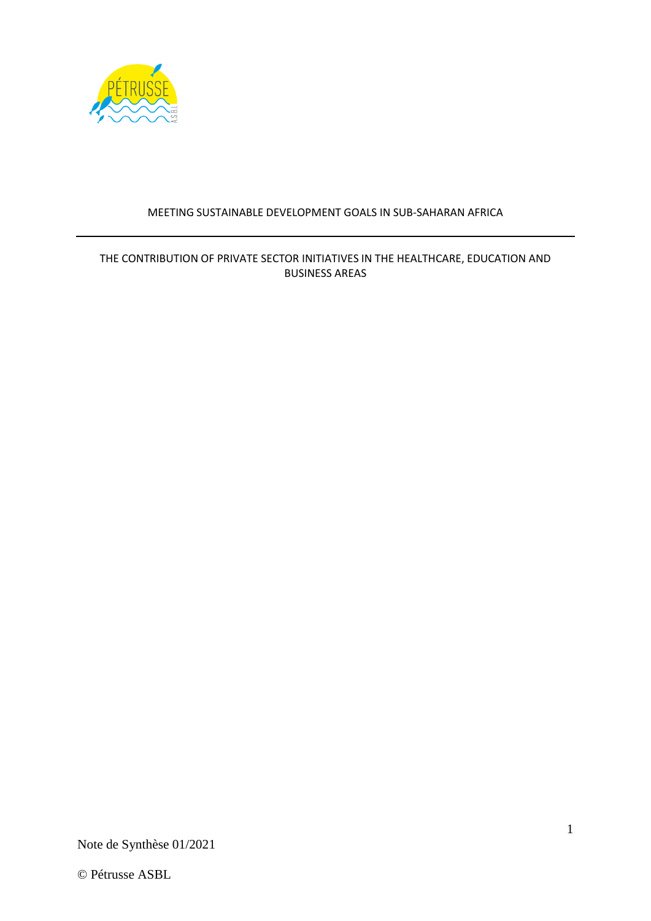

# MEETING SUSTAINABLE DEVELOPMENT GOALS IN SUB-SAHARAN AFRICA

# THE CONTRIBUTION OF PRIVATE SECTOR INITIATIVES IN THE HEALTHCARE, EDUCATION AND BUSINESS AREAS

Note de Synthèse 01/2021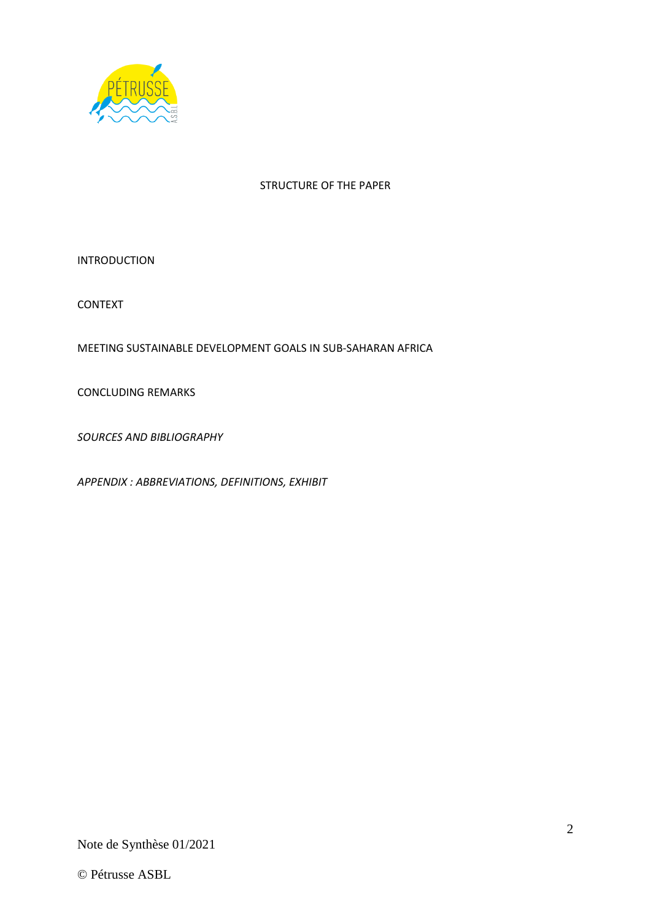

### STRUCTURE OF THE PAPER

INTRODUCTION

CONTEXT

MEETING SUSTAINABLE DEVELOPMENT GOALS IN SUB-SAHARAN AFRICA

CONCLUDING REMARKS

*SOURCES AND BIBLIOGRAPHY*

*APPENDIX : ABBREVIATIONS, DEFINITIONS, EXHIBIT*

Note de Synthèse 01/2021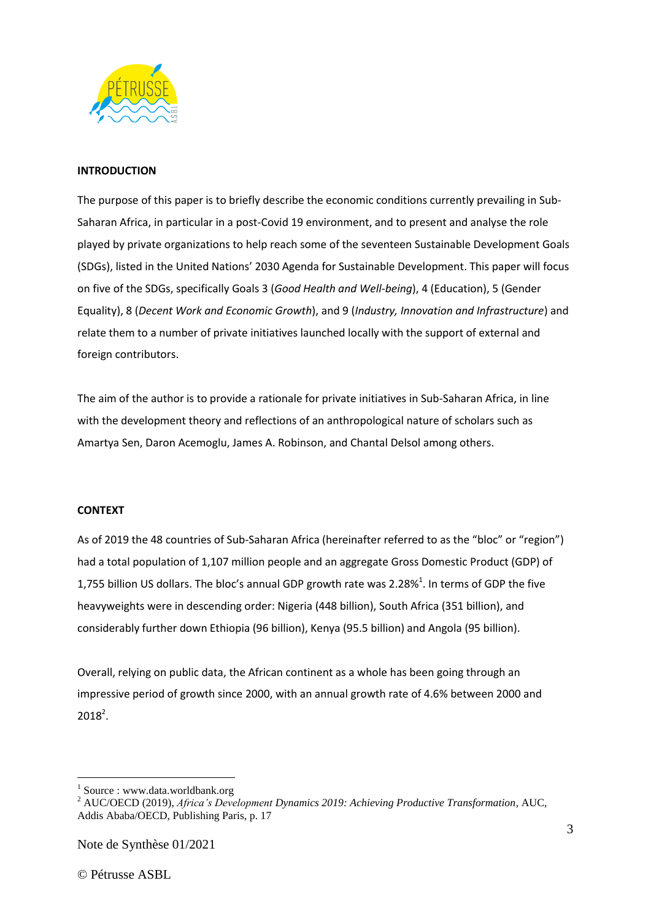

### **INTRODUCTION**

The purpose of this paper is to briefly describe the economic conditions currently prevailing in Sub-Saharan Africa, in particular in a post-Covid 19 environment, and to present and analyse the role played by private organizations to help reach some of the seventeen Sustainable Development Goals (SDGs), listed in the United Nations' 2030 Agenda for Sustainable Development. This paper will focus on five of the SDGs, specifically Goals 3 (*Good Health and Well-being*), 4 (Education), 5 (Gender Equality), 8 (*Decent Work and Economic Growth*), and 9 (*Industry, Innovation and Infrastructure*) and relate them to a number of private initiatives launched locally with the support of external and foreign contributors.

The aim of the author is to provide a rationale for private initiatives in Sub-Saharan Africa, in line with the development theory and reflections of an anthropological nature of scholars such as Amartya Sen, Daron Acemoglu, James A. Robinson, and Chantal Delsol among others.

### **CONTEXT**

As of 2019 the 48 countries of Sub-Saharan Africa (hereinafter referred to as the "bloc" or "region") had a total population of 1,107 million people and an aggregate Gross Domestic Product (GDP) of 1,755 billion US dollars. The bloc's annual GDP growth rate was 2.28%<sup>1</sup>. In terms of GDP the five heavyweights were in descending order: Nigeria (448 billion), South Africa (351 billion), and considerably further down Ethiopia (96 billion), Kenya (95.5 billion) and Angola (95 billion).

Overall, relying on public data, the African continent as a whole has been going through an impressive period of growth since 2000, with an annual growth rate of 4.6% between 2000 and  $2018^2$ .

<sup>&</sup>lt;sup>1</sup> Source : www.data.worldbank.org

<sup>2</sup> AUC/OECD (2019), *Africa's Development Dynamics 2019: Achieving Productive Transformation*, AUC, Addis Ababa/OECD, Publishing Paris, p. 17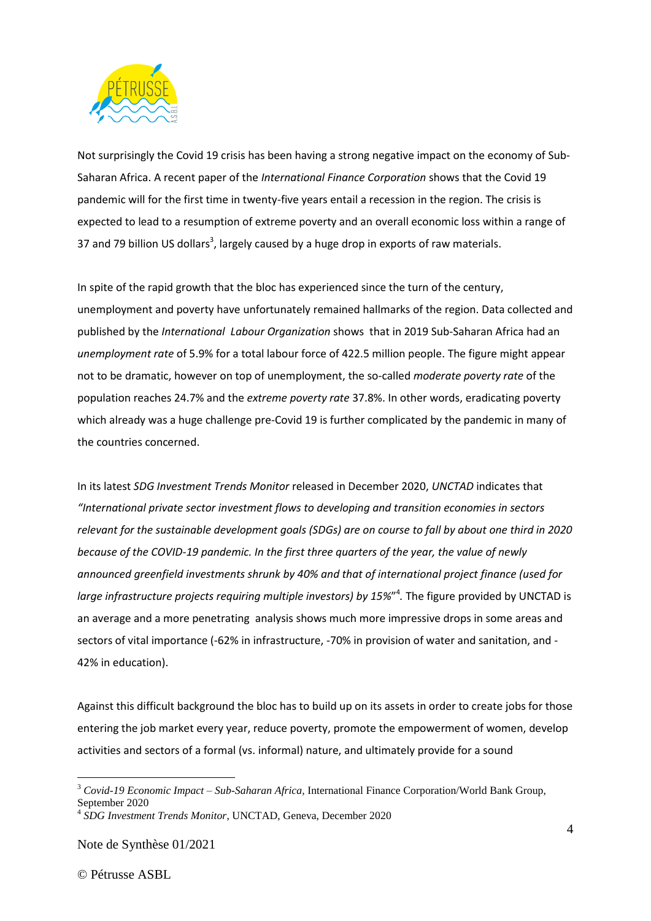

Not surprisingly the Covid 19 crisis has been having a strong negative impact on the economy of Sub-Saharan Africa. A recent paper of the *International Finance Corporation* shows that the Covid 19 pandemic will for the first time in twenty-five years entail a recession in the region. The crisis is expected to lead to a resumption of extreme poverty and an overall economic loss within a range of 37 and 79 billion US dollars<sup>3</sup>, largely caused by a huge drop in exports of raw materials.

In spite of the rapid growth that the bloc has experienced since the turn of the century, unemployment and poverty have unfortunately remained hallmarks of the region. Data collected and published by the *International Labour Organization* shows that in 2019 Sub-Saharan Africa had an *unemployment rate* of 5.9% for a total labour force of 422.5 million people. The figure might appear not to be dramatic, however on top of unemployment, the so-called *moderate poverty rate* of the population reaches 24.7% and the *extreme poverty rate* 37.8%. In other words, eradicating poverty which already was a huge challenge pre-Covid 19 is further complicated by the pandemic in many of the countries concerned.

In its latest *SDG Investment Trends Monitor* released in December 2020, *UNCTAD* indicates that *"International private sector investment flows to developing and transition economies in sectors relevant for the sustainable development goals (SDGs) are on course to fall by about one third in 2020 because of the COVID-19 pandemic. In the first three quarters of the year, the value of newly announced greenfield investments shrunk by 40% and that of international project finance (used for large infrastructure projects requiring multiple investors) by 15%*" 4 *.* The figure provided by UNCTAD is an average and a more penetrating analysis shows much more impressive drops in some areas and sectors of vital importance (-62% in infrastructure, -70% in provision of water and sanitation, and - 42% in education).

Against this difficult background the bloc has to build up on its assets in order to create jobs for those entering the job market every year, reduce poverty, promote the empowerment of women, develop activities and sectors of a formal (vs. informal) nature, and ultimately provide for a sound

Note de Synthèse 01/2021

<sup>3</sup> *Covid-19 Economic Impact – Sub-Saharan Africa,* International Finance Corporation/World Bank Group, September 2020

<sup>4</sup> *SDG Investment Trends Monitor*, UNCTAD, Geneva, December 2020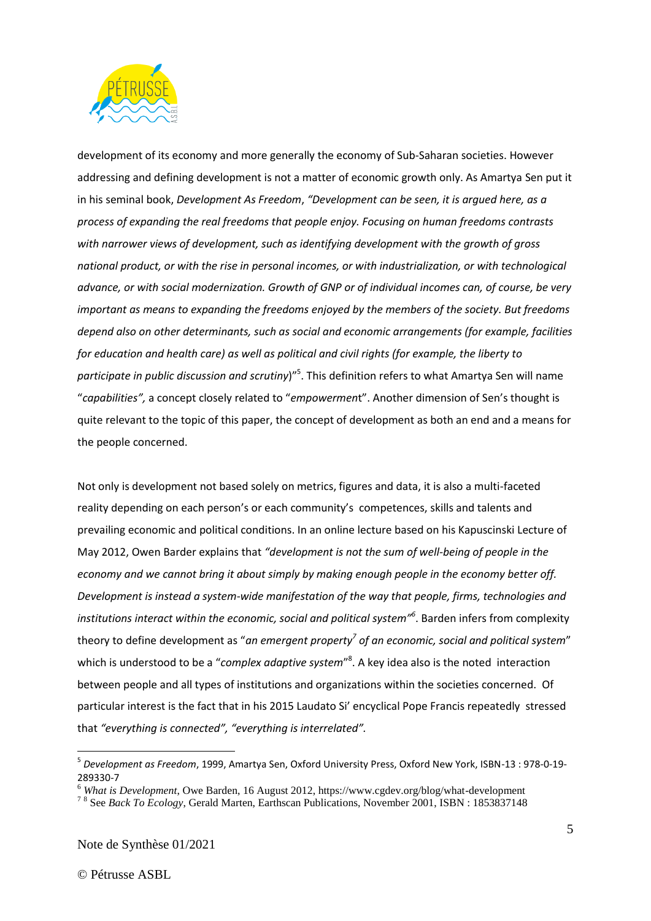

development of its economy and more generally the economy of Sub-Saharan societies. However addressing and defining development is not a matter of economic growth only. As Amartya Sen put it in his seminal book, *Development As Freedom*, *"Development can be seen, it is argued here, as a process of expanding the real freedoms that people enjoy. Focusing on human freedoms contrasts with narrower views of development, such as identifying development with the growth of gross national product, or with the rise in personal incomes, or with industrialization, or with technological advance, or with social modernization. Growth of GNP or of individual incomes can, of course, be very important as means to expanding the freedoms enjoyed by the members of the society. But freedoms depend also on other determinants, such as social and economic arrangements (for example, facilities for education and health care) as well as political and civil rights (for example, the liberty to participate in public discussion and scrutiny*)" 5 . This definition refers to what Amartya Sen will name "*capabilities",* a concept closely related to "*empowermen*t". Another dimension of Sen's thought is quite relevant to the topic of this paper, the concept of development as both an end and a means for the people concerned.

Not only is development not based solely on metrics, figures and data, it is also a multi-faceted reality depending on each person's or each community's competences, skills and talents and prevailing economic and political conditions. In an online lecture based on his Kapuscinski Lecture of May 2012, Owen Barder explains that *"development is not the sum of well-being of people in the economy and we cannot bring it about simply by making enough people in the economy better off. Development is instead a system-wide manifestation of the way that people, firms, technologies and institutions interact within the economic, social and political system"<sup>6</sup>* . Barden infers from complexity theory to define development as "*an emergent property<sup>7</sup> of an economic, social and political system*" which is understood to be a "*complex adaptive system*" 8 . A key idea also is the noted interaction between people and all types of institutions and organizations within the societies concerned. Of particular interest is the fact that in his 2015 Laudato Si' encyclical Pope Francis repeatedly stressed that *"everything is connected", "everything is interrelated".*

<sup>5</sup> *Development as Freedom*, 1999, Amartya Sen, Oxford University Press, Oxford New York, ISBN-13 : 978-0-19- 289330-7

<sup>6</sup> *What is Development*, Owe Barden, 16 August 2012, https://www.cgdev.org/blog/what-development

<sup>&</sup>lt;sup>78</sup> See *Back To Ecology*, Gerald Marten, Earthscan Publications, November 2001, ISBN : 1853837148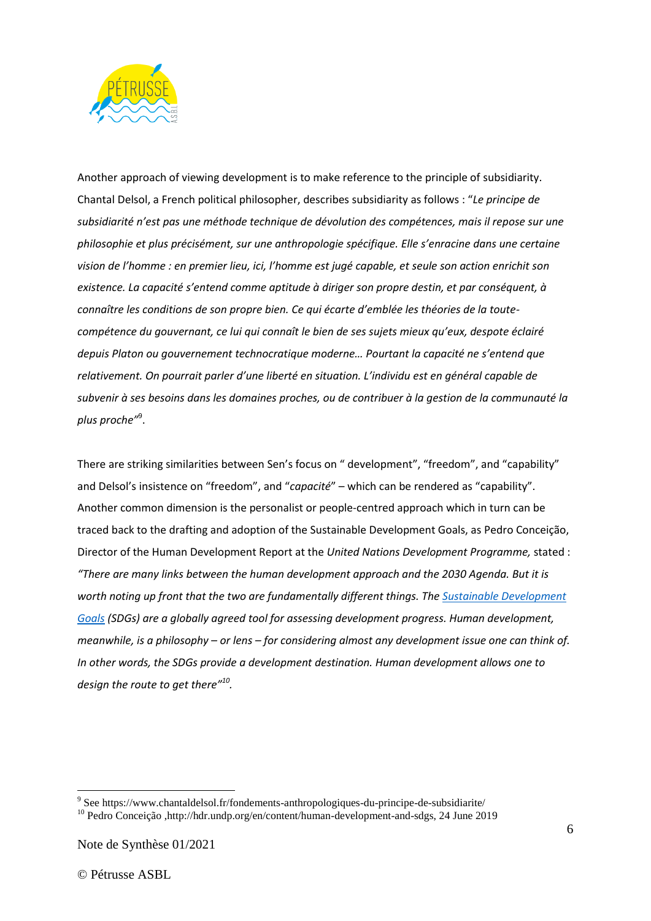

Another approach of viewing development is to make reference to the principle of subsidiarity. Chantal Delsol, a French political philosopher, describes subsidiarity as follows : "*Le principe de subsidiarité n'est pas une méthode technique de dévolution des compétences, mais il repose sur une philosophie et plus précisément, sur une anthropologie spécifique. Elle s'enracine dans une certaine vision de l'homme : en premier lieu, ici, l'homme est jugé capable, et seule son action enrichit son existence. La capacité s'entend comme aptitude à diriger son propre destin, et par conséquent, à connaître les conditions de son propre bien. Ce qui écarte d'emblée les théories de la toutecompétence du gouvernant, ce lui qui connaît le bien de ses sujets mieux qu'eux, despote éclairé depuis Platon ou gouvernement technocratique moderne… Pourtant la capacité ne s'entend que relativement. On pourrait parler d'une liberté en situation. L'individu est en général capable de subvenir à ses besoins dans les domaines proches, ou de contribuer à la gestion de la communauté la plus proche"* 9 .

There are striking similarities between Sen's focus on " development", "freedom", and "capability" and Delsol's insistence on "freedom", and "*capacité*" – which can be rendered as "capability". Another common dimension is the personalist or people-centred approach which in turn can be traced back to the drafting and adoption of the Sustainable Development Goals, as Pedro Conceição, Director of the Human Development Report at the *United Nations Development Programme,* stated : *"There are many links between the human development approach and the 2030 Agenda. But it is worth noting up front that the two are fundamentally different things. Th[e Sustainable Development](https://sustainabledevelopment.un.org/sdgs)  [Goals](https://sustainabledevelopment.un.org/sdgs) (SDGs) are a globally agreed tool for assessing development progress. Human development, meanwhile, is a philosophy – or lens – for considering almost any development issue one can think of. In other words, the SDGs provide a development destination. Human development allows one to design the route to get there" 10 .*

<sup>&</sup>lt;sup>9</sup> See https://www.chantaldelsol.fr/fondements-anthropologiques-du-principe-de-subsidiarite/ <sup>10</sup> Pedro Conceição ,http://hdr.undp.org/en/content/human-development-and-sdgs, 24 June 2019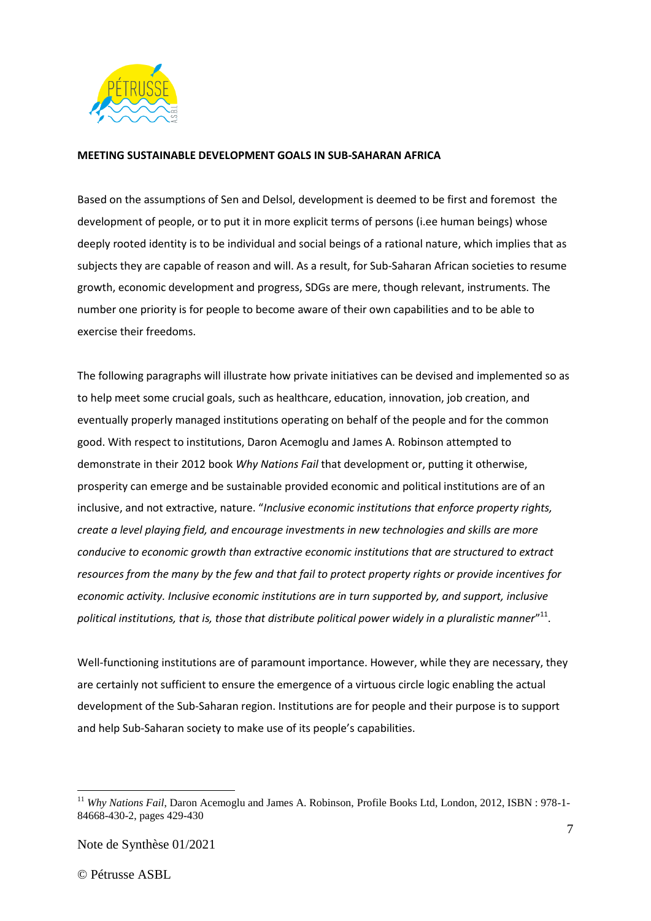

### **MEETING SUSTAINABLE DEVELOPMENT GOALS IN SUB-SAHARAN AFRICA**

Based on the assumptions of Sen and Delsol, development is deemed to be first and foremost the development of people, or to put it in more explicit terms of persons (i.ee human beings) whose deeply rooted identity is to be individual and social beings of a rational nature, which implies that as subjects they are capable of reason and will. As a result, for Sub-Saharan African societies to resume growth, economic development and progress, SDGs are mere, though relevant, instruments. The number one priority is for people to become aware of their own capabilities and to be able to exercise their freedoms.

The following paragraphs will illustrate how private initiatives can be devised and implemented so as to help meet some crucial goals, such as healthcare, education, innovation, job creation, and eventually properly managed institutions operating on behalf of the people and for the common good. With respect to institutions, Daron Acemoglu and James A. Robinson attempted to demonstrate in their 2012 book *Why Nations Fail* that development or, putting it otherwise, prosperity can emerge and be sustainable provided economic and political institutions are of an inclusive, and not extractive, nature. "*Inclusive economic institutions that enforce property rights, create a level playing field, and encourage investments in new technologies and skills are more conducive to economic growth than extractive economic institutions that are structured to extract resources from the many by the few and that fail to protect property rights or provide incentives for economic activity. Inclusive economic institutions are in turn supported by, and support, inclusive political institutions, that is, those that distribute political power widely in a pluralistic manner*" 11 .

Well-functioning institutions are of paramount importance. However, while they are necessary, they are certainly not sufficient to ensure the emergence of a virtuous circle logic enabling the actual development of the Sub-Saharan region. Institutions are for people and their purpose is to support and help Sub-Saharan society to make use of its people's capabilities.

<sup>&</sup>lt;sup>11</sup> Why Nations Fail, Daron Acemoglu and James A. Robinson, Profile Books Ltd, London, 2012, ISBN : 978-1-84668-430-2, pages 429-430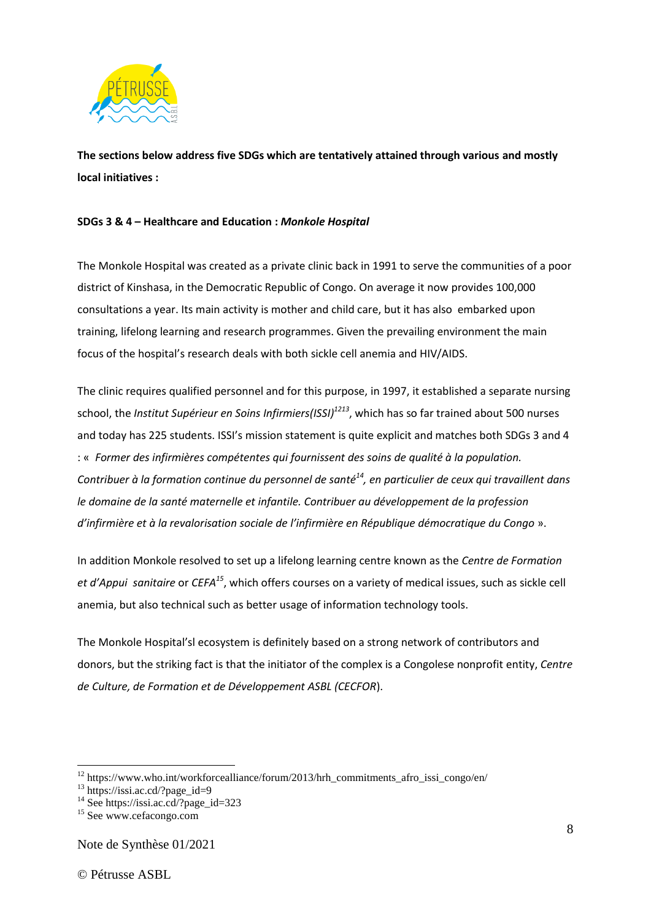

**The sections below address five SDGs which are tentatively attained through various and mostly local initiatives :** 

### **SDGs 3 & 4 – Healthcare and Education :** *Monkole Hospital*

The Monkole Hospital was created as a private clinic back in 1991 to serve the communities of a poor district of Kinshasa, in the Democratic Republic of Congo. On average it now provides 100,000 consultations a year. Its main activity is mother and child care, but it has also embarked upon training, lifelong learning and research programmes. Given the prevailing environment the main focus of the hospital's research deals with both sickle cell anemia and HIV/AIDS.

The clinic requires qualified personnel and for this purpose, in 1997, it established a separate nursing school, the *Institut Supérieur en Soins Infirmiers(ISSI)<sup>1213</sup>*, which has so far trained about 500 nurses and today has 225 students. ISSI's mission statement is quite explicit and matches both SDGs 3 and 4 : « *Former des infirmières compétentes qui fournissent des soins de qualité à la population. Contribuer à la formation continue du personnel de santé<sup>14</sup>, en particulier de ceux qui travaillent dans le domaine de la santé maternelle et infantile. Contribuer au développement de la profession d'infirmière et à la revalorisation sociale de l'infirmière en République démocratique du Congo* ».

In addition Monkole resolved to set up a lifelong learning centre known as the *Centre de Formation et d'Appui sanitaire* or *CEFA<sup>15</sup>*, which offers courses on a variety of medical issues, such as sickle cell anemia, but also technical such as better usage of information technology tools.

The Monkole Hospital'sl ecosystem is definitely based on a strong network of contributors and donors, but the striking fact is that the initiator of the complex is a Congolese nonprofit entity, *Centre de Culture, de Formation et de Développement ASBL (CECFOR*).

Note de Synthèse 01/2021

<sup>12</sup> https://www.who.int/workforcealliance/forum/2013/hrh\_commitments\_afro\_issi\_congo/en/

<sup>13</sup> https://issi.ac.cd/?page\_id=9

<sup>&</sup>lt;sup>14</sup> See https://issi.ac.cd/?page\_id=323

<sup>&</sup>lt;sup>15</sup> See www.cefacongo.com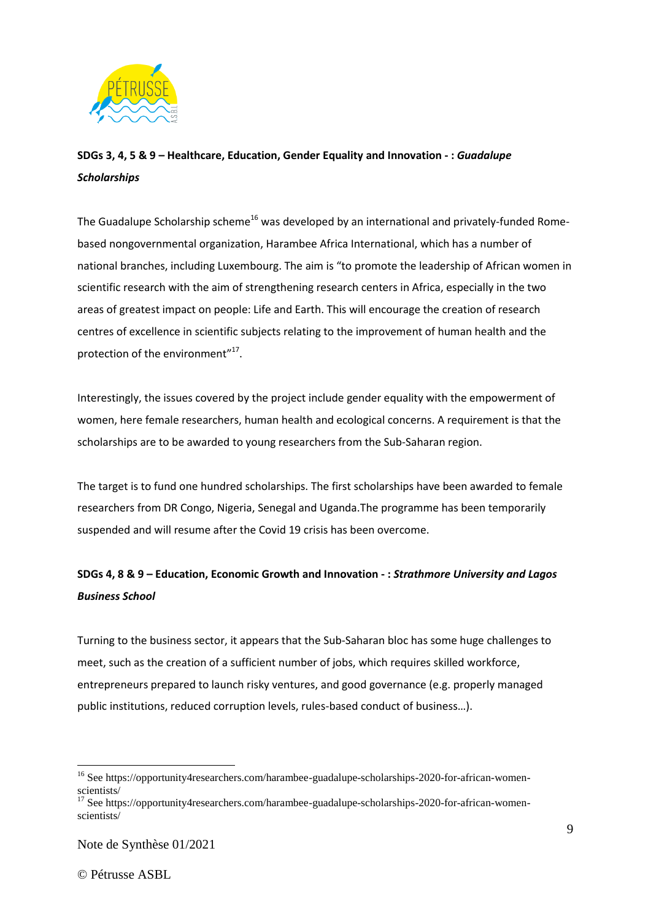

# **SDGs 3, 4, 5 & 9 – Healthcare, Education, Gender Equality and Innovation - :** *Guadalupe Scholarships*

The Guadalupe Scholarship scheme<sup>16</sup> was developed by an international and privately-funded Romebased nongovernmental organization, Harambee Africa International, which has a number of national branches, including Luxembourg. The aim is "to promote the leadership of African women in scientific research with the aim of strengthening research centers in Africa, especially in the two areas of greatest impact on people: Life and Earth. This will encourage the creation of research centres of excellence in scientific subjects relating to the improvement of human health and the protection of the environment"<sup>17</sup>.

Interestingly, the issues covered by the project include gender equality with the empowerment of women, here female researchers, human health and ecological concerns. A requirement is that the scholarships are to be awarded to young researchers from the Sub-Saharan region.

The target is to fund one hundred scholarships. The first scholarships have been awarded to female researchers from DR Congo, Nigeria, Senegal and Uganda.The programme has been temporarily suspended and will resume after the Covid 19 crisis has been overcome.

# **SDGs 4, 8 & 9 – Education, Economic Growth and Innovation - :** *Strathmore University and Lagos Business School*

Turning to the business sector, it appears that the Sub-Saharan bloc has some huge challenges to meet, such as the creation of a sufficient number of jobs, which requires skilled workforce, entrepreneurs prepared to launch risky ventures, and good governance (e.g. properly managed public institutions, reduced corruption levels, rules-based conduct of business…).

<sup>&</sup>lt;sup>16</sup> See https://opportunity4researchers.com/harambee-guadalupe-scholarships-2020-for-african-womenscientists/

<sup>17</sup> See https://opportunity4researchers.com/harambee-guadalupe-scholarships-2020-for-african-womenscientists/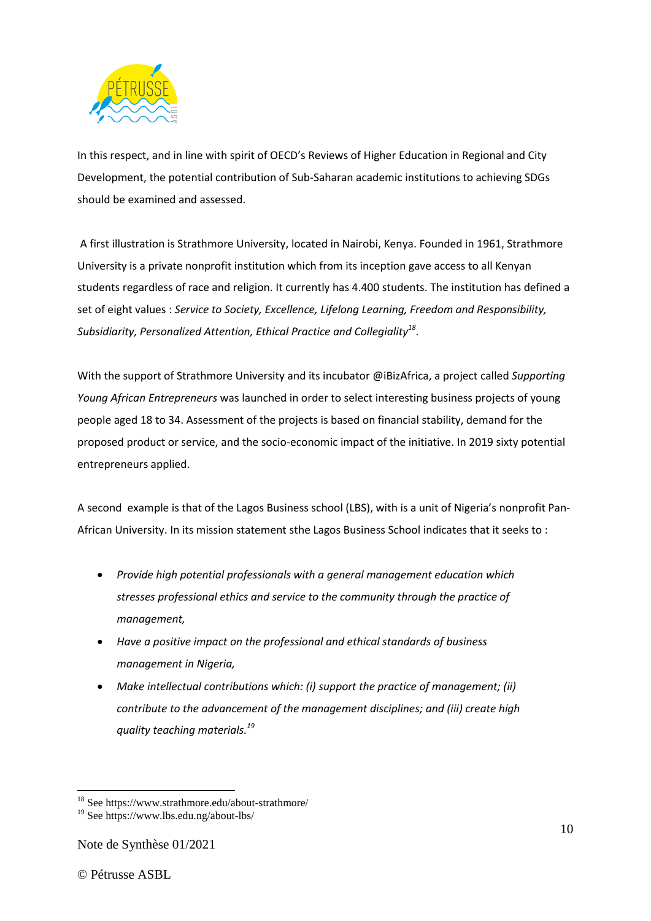

In this respect, and in line with spirit of OECD's Reviews of Higher Education in Regional and City Development, the potential contribution of Sub-Saharan academic institutions to achieving SDGs should be examined and assessed.

A first illustration is Strathmore University, located in Nairobi, Kenya. Founded in 1961, Strathmore University is a private nonprofit institution which from its inception gave access to all Kenyan students regardless of race and religion. It currently has 4.400 students. The institution has defined a set of eight values : *Service to Society, Excellence, Lifelong Learning, Freedom and Responsibility, Subsidiarity, Personalized Attention, Ethical Practice and Collegiality<sup>18</sup>* .

With the support of Strathmore University and its incubator @iBizAfrica, a project called *Supporting Young African Entrepreneurs* was launched in order to select interesting business projects of young people aged 18 to 34. Assessment of the projects is based on financial stability, demand for the proposed product or service, and the socio-economic impact of the initiative. In 2019 sixty potential entrepreneurs applied.

A second example is that of the Lagos Business school (LBS), with is a unit of Nigeria's nonprofit Pan-African University. In its mission statement sthe Lagos Business School indicates that it seeks to :

- *Provide high potential professionals with a general management education which stresses professional ethics and service to the community through the practice of management,*
- *Have a positive impact on the professional and ethical standards of business management in Nigeria,*
- *Make intellectual contributions which: (i) support the practice of management; (ii) contribute to the advancement of the management disciplines; and (iii) create high quality teaching materials.<sup>19</sup>*

<sup>&</sup>lt;sup>18</sup> See https://www.strathmore.edu/about-strathmore/

<sup>19</sup> See https://www.lbs.edu.ng/about-lbs/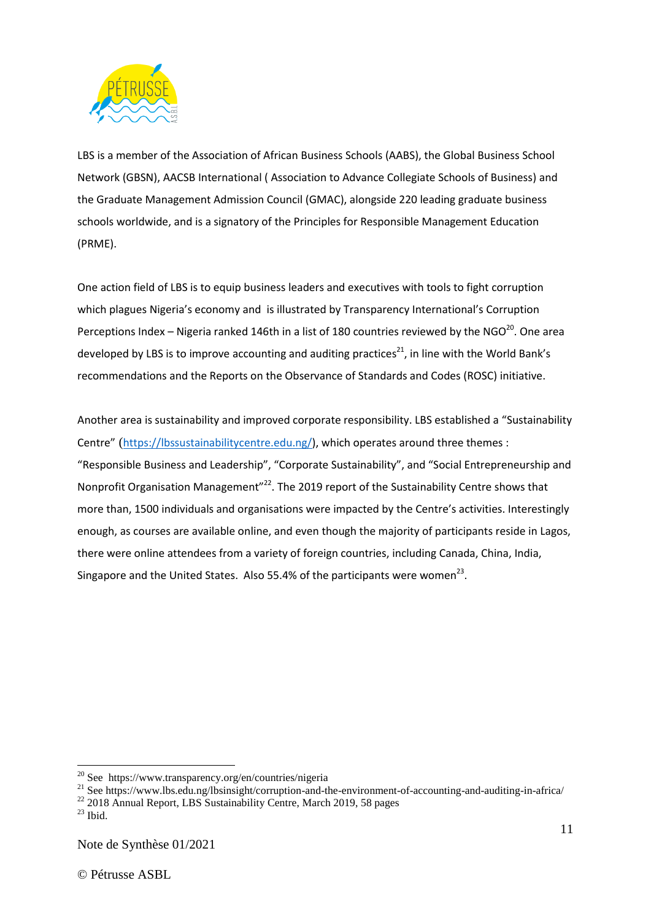

LBS is a member of the Association of African Business Schools (AABS), the Global Business School Network (GBSN), AACSB International ( Association to Advance Collegiate Schools of Business) and the Graduate Management Admission Council (GMAC), alongside 220 leading graduate business schools worldwide, and is a signatory of the Principles for Responsible Management Education (PRME).

One action field of LBS is to equip business leaders and executives with tools to fight corruption which plagues Nigeria's economy and is illustrated by Transparency International's Corruption Perceptions Index – Nigeria ranked 146th in a list of 180 countries reviewed by the NGO $^{20}$ . One area developed by LBS is to improve accounting and auditing practices<sup>21</sup>, in line with the World Bank's recommendations and the Reports on the Observance of Standards and Codes (ROSC) initiative.

Another area is sustainability and improved corporate responsibility. LBS established a "Sustainability Centre" ([https://lbssustainabilitycentre.edu.ng/\)](https://lbssustainabilitycentre.edu.ng/), which operates around three themes : "Responsible Business and Leadership", "Corporate Sustainability", and "Social Entrepreneurship and Nonprofit Organisation Management"<sup>22</sup>. The 2019 report of the Sustainability Centre shows that more than, 1500 individuals and organisations were impacted by the Centre's activities. Interestingly enough, as courses are available online, and even though the majority of participants reside in Lagos, there were online attendees from a variety of foreign countries, including Canada, China, India, Singapore and the United States. Also 55.4% of the participants were women<sup>23</sup>.

<sup>&</sup>lt;sup>20</sup> See https://www.transparency.org/en/countries/nigeria

<sup>&</sup>lt;sup>21</sup> See https://www.lbs.edu.ng/lbsinsight/corruption-and-the-environment-of-accounting-and-auditing-in-africa/

<sup>&</sup>lt;sup>22</sup> 2018 Annual Report, LBS Sustainability Centre, March 2019, 58 pages

 $23$  Ibid.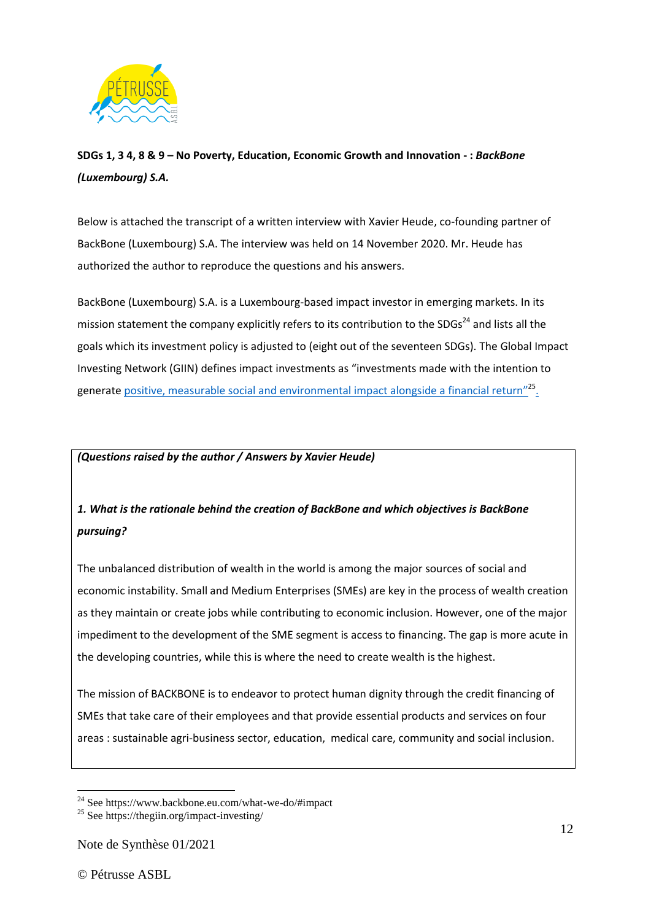

**SDGs 1, 3 4, 8 & 9 – No Poverty, Education, Economic Growth and Innovation - :** *BackBone (Luxembourg) S.A.*

Below is attached the transcript of a written interview with Xavier Heude, co-founding partner of BackBone (Luxembourg) S.A. The interview was held on 14 November 2020. Mr. Heude has authorized the author to reproduce the questions and his answers.

BackBone (Luxembourg) S.A. is a Luxembourg-based impact investor in emerging markets. In its mission statement the company explicitly refers to its contribution to the SDGs<sup>24</sup> and lists all the goals which its investment policy is adjusted to (eight out of the seventeen SDGs). The Global Impact Investing Network (GIIN) defines impact investments as "investments made with the intention to generate [positive, measurable social and environmental impact alongside a financial return](https://thegiin.org/impact-investing/need-to-know/#what-is-impact-investing)"<sup>25</sup>.

### *(Questions raised by the author / Answers by Xavier Heude)*

# *1. What is the rationale behind the creation of BackBone and which objectives is BackBone pursuing?*

The unbalanced distribution of wealth in the world is among the major sources of social and economic instability. Small and Medium Enterprises (SMEs) are key in the process of wealth creation as they maintain or create jobs while contributing to economic inclusion. However, one of the major impediment to the development of the SME segment is access to financing. The gap is more acute in the developing countries, while this is where the need to create wealth is the highest.

The mission of BACKBONE is to endeavor to protect human dignity through the credit financing of SMEs that take care of their employees and that provide essential products and services on four areas : sustainable agri-business sector, education, medical care, community and social inclusion.

 $24$  See https://www.backbone.eu.com/what-we-do/#impact

<sup>&</sup>lt;sup>25</sup> See https://thegiin.org/impact-investing/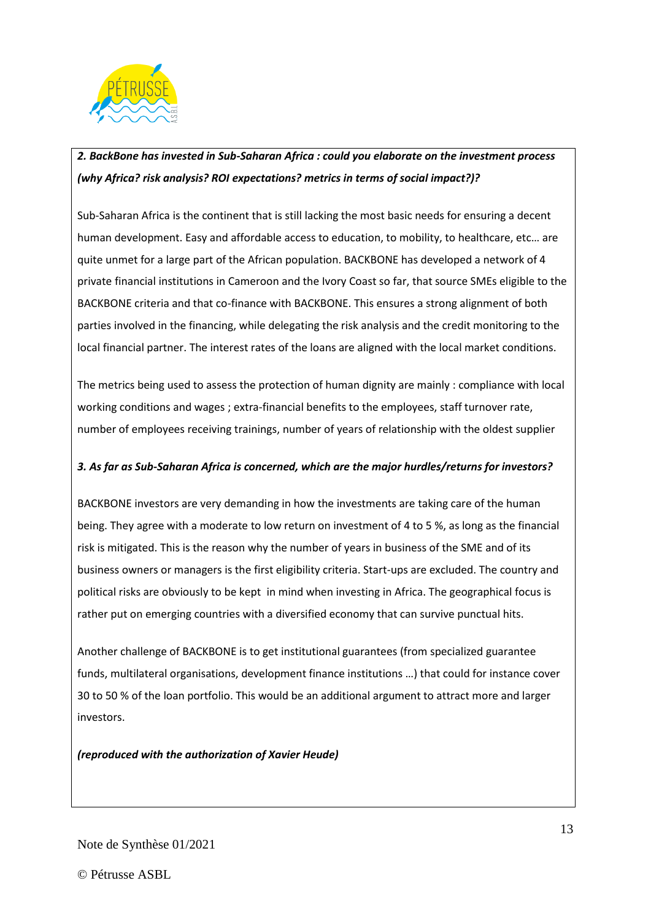

# *2. BackBone has invested in Sub-Saharan Africa : could you elaborate on the investment process (why Africa? risk analysis? ROI expectations? metrics in terms of social impact?)?*

Sub-Saharan Africa is the continent that is still lacking the most basic needs for ensuring a decent human development. Easy and affordable access to education, to mobility, to healthcare, etc… are quite unmet for a large part of the African population. BACKBONE has developed a network of 4 private financial institutions in Cameroon and the Ivory Coast so far, that source SMEs eligible to the BACKBONE criteria and that co-finance with BACKBONE. This ensures a strong alignment of both parties involved in the financing, while delegating the risk analysis and the credit monitoring to the local financial partner. The interest rates of the loans are aligned with the local market conditions.

The metrics being used to assess the protection of human dignity are mainly : compliance with local working conditions and wages ; extra-financial benefits to the employees, staff turnover rate, number of employees receiving trainings, number of years of relationship with the oldest supplier

# *3. As far as Sub-Saharan Africa is concerned, which are the major hurdles/returns for investors?*

BACKBONE investors are very demanding in how the investments are taking care of the human being. They agree with a moderate to low return on investment of 4 to 5 %, as long as the financial risk is mitigated. This is the reason why the number of years in business of the SME and of its business owners or managers is the first eligibility criteria. Start-ups are excluded. The country and political risks are obviously to be kept in mind when investing in Africa. The geographical focus is rather put on emerging countries with a diversified economy that can survive punctual hits.

Another challenge of BACKBONE is to get institutional guarantees (from specialized guarantee funds, multilateral organisations, development finance institutions …) that could for instance cover 30 to 50 % of the loan portfolio. This would be an additional argument to attract more and larger investors.

*(reproduced with the authorization of Xavier Heude)*

Note de Synthèse 01/2021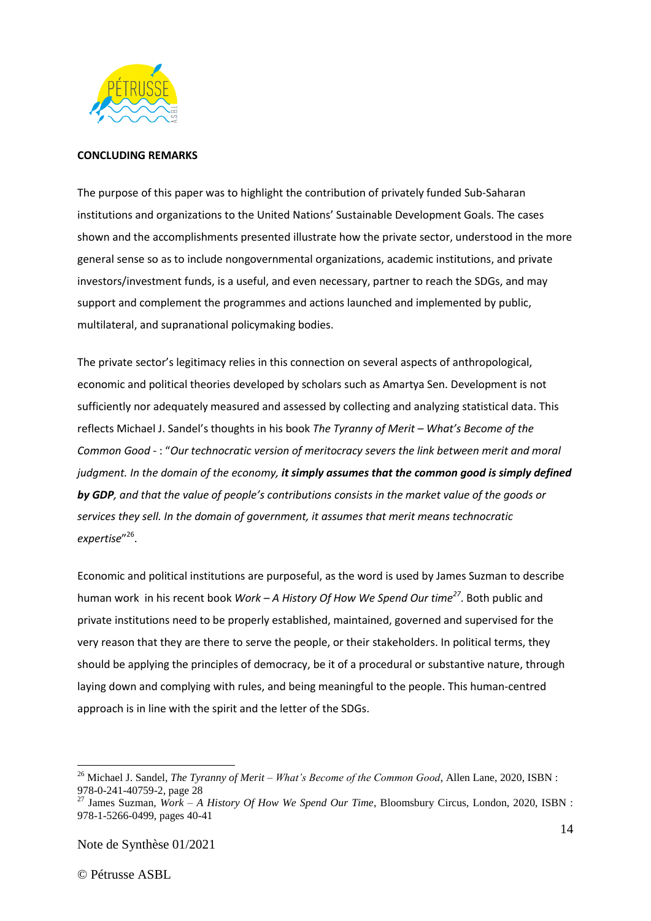

### **CONCLUDING REMARKS**

The purpose of this paper was to highlight the contribution of privately funded Sub-Saharan institutions and organizations to the United Nations' Sustainable Development Goals. The cases shown and the accomplishments presented illustrate how the private sector, understood in the more general sense so as to include nongovernmental organizations, academic institutions, and private investors/investment funds, is a useful, and even necessary, partner to reach the SDGs, and may support and complement the programmes and actions launched and implemented by public, multilateral, and supranational policymaking bodies.

The private sector's legitimacy relies in this connection on several aspects of anthropological, economic and political theories developed by scholars such as Amartya Sen. Development is not sufficiently nor adequately measured and assessed by collecting and analyzing statistical data. This reflects Michael J. Sandel's thoughts in his book *The Tyranny of Merit – What's Become of the Common Good* - : "*Our technocratic version of meritocracy severs the link between merit and moral judgment. In the domain of the economy, it simply assumes that the common good is simply defined by GDP, and that the value of people's contributions consists in the market value of the goods or services they sell. In the domain of government, it assumes that merit means technocratic expertise*" 26 .

Economic and political institutions are purposeful, as the word is used by James Suzman to describe human work in his recent book *Work – A History Of How We Spend Our time<sup>27</sup>* . Both public and private institutions need to be properly established, maintained, governed and supervised for the very reason that they are there to serve the people, or their stakeholders. In political terms, they should be applying the principles of democracy, be it of a procedural or substantive nature, through laying down and complying with rules, and being meaningful to the people. This human-centred approach is in line with the spirit and the letter of the SDGs.

<sup>26</sup> Michael J. Sandel, *The Tyranny of Merit – What's Become of the Common Good*, Allen Lane, 2020, ISBN : 978-0-241-40759-2, page 28

<sup>27</sup> James Suzman, *Work – A History Of How We Spend Our Time*, Bloomsbury Circus, London, 2020, ISBN : 978-1-5266-0499, pages 40-41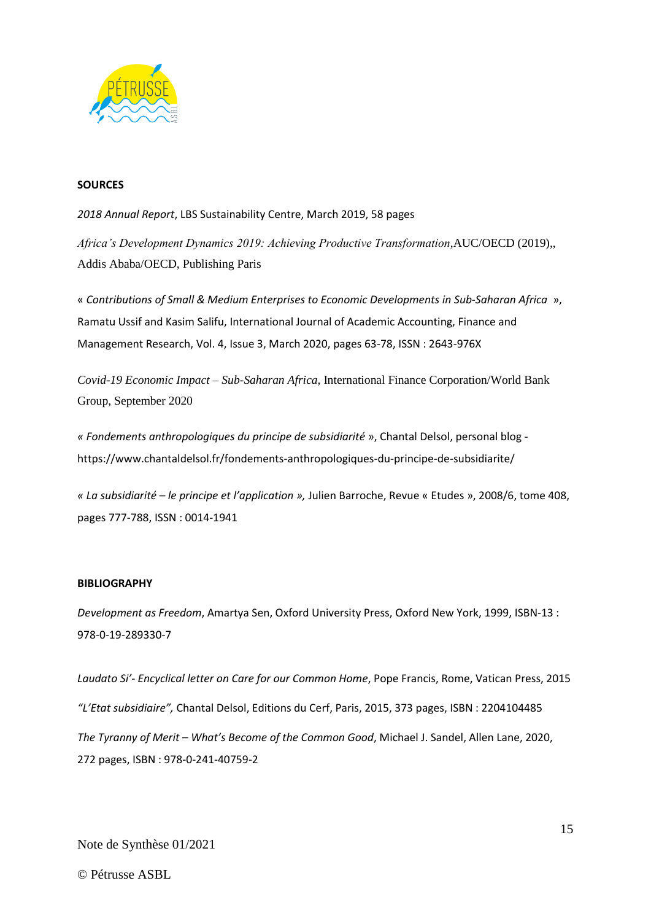

### **SOURCES**

*2018 Annual Report*, LBS Sustainability Centre, March 2019, 58 pages

*Africa's Development Dynamics 2019: Achieving Productive Transformation*,AUC/OECD (2019),, Addis Ababa/OECD, Publishing Paris

« *Contributions of Small & Medium Enterprises to Economic Developments in Sub-Saharan Africa* », Ramatu Ussif and Kasim Salifu, International Journal of Academic Accounting, Finance and Management Research, Vol. 4, Issue 3, March 2020, pages 63-78, ISSN : 2643-976X

*Covid-19 Economic Impact – Sub-Saharan Africa,* International Finance Corporation/World Bank Group, September 2020

*« Fondements anthropologiques du principe de subsidiarité* », Chantal Delsol, personal blog https://www.chantaldelsol.fr/fondements-anthropologiques-du-principe-de-subsidiarite/

*« La subsidiarité – le principe et l'application »,* Julien Barroche, Revue « Etudes », 2008/6, tome 408, pages 777-788, ISSN : 0014-1941

### **BIBLIOGRAPHY**

*Development as Freedom*, Amartya Sen, Oxford University Press, Oxford New York, 1999, ISBN-13 : 978-0-19-289330-7

*Laudato Si'- Encyclical letter on Care for our Common Home*, Pope Francis, Rome, Vatican Press, 2015 *"L'Etat subsidiaire",* Chantal Delsol, Editions du Cerf, Paris, 2015, 373 pages, ISBN : 2204104485 *The Tyranny of Merit – What's Become of the Common Good*, Michael J. Sandel, Allen Lane, 2020, 272 pages, ISBN : 978-0-241-40759-2

Note de Synthèse 01/2021

© Pétrusse ASBL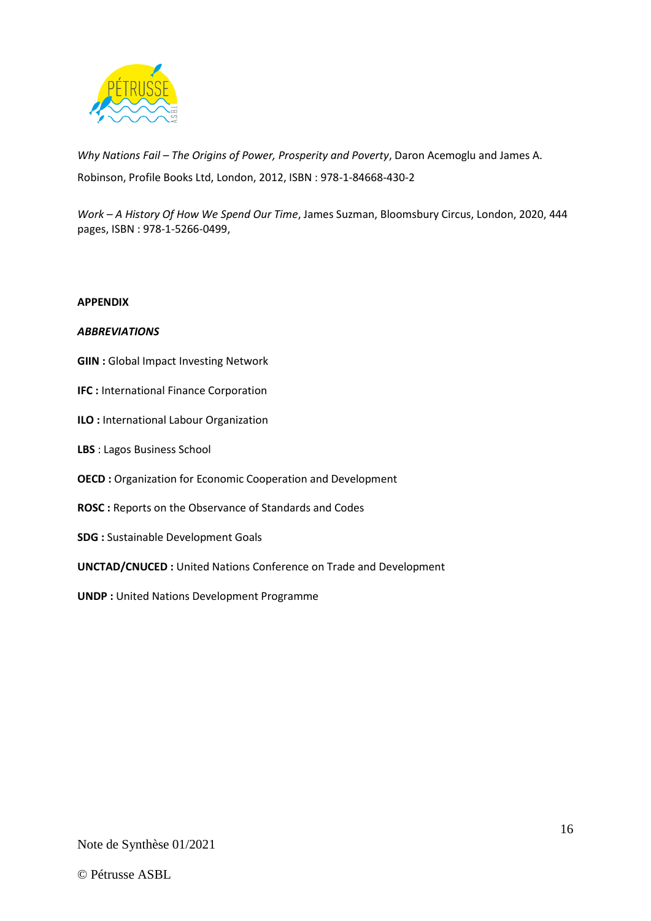

*Why Nations Fail – The Origins of Power, Prosperity and Poverty*, Daron Acemoglu and James A. Robinson, Profile Books Ltd, London, 2012, ISBN : 978-1-84668-430-2

*Work – A History Of How We Spend Our Time*, James Suzman, Bloomsbury Circus, London, 2020, 444 pages, ISBN : 978-1-5266-0499,

### **APPENDIX**

### *ABBREVIATIONS*

- **GIIN : Global Impact Investing Network**
- **IFC : International Finance Corporation**
- **ILO :** International Labour Organization
- **LBS** : Lagos Business School
- **OECD :** Organization for Economic Cooperation and Development
- **ROSC :** Reports on the Observance of Standards and Codes
- **SDG :** Sustainable Development Goals
- **UNCTAD/CNUCED :** United Nations Conference on Trade and Development
- **UNDP :** United Nations Development Programme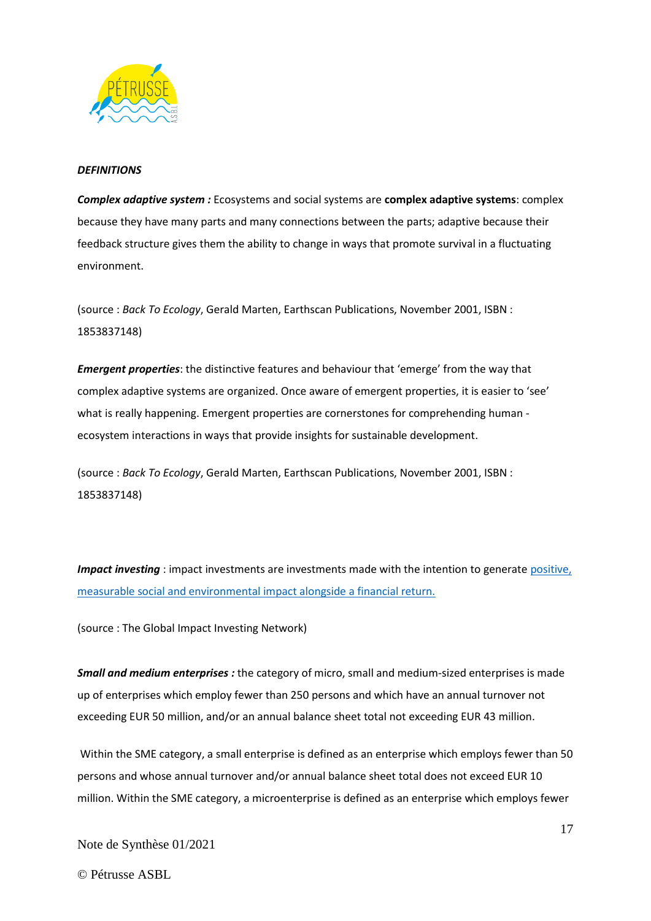

### *DEFINITIONS*

*Complex adaptive system :* Ecosystems and social systems are **complex adaptive systems**: complex because they have many parts and many connections between the parts; adaptive because their feedback structure gives them the ability to change in ways that promote survival in a fluctuating environment.

(source : *Back To Ecology*, Gerald Marten, Earthscan Publications, November 2001, ISBN : 1853837148)

*Emergent properties*: the distinctive features and behaviour that 'emerge' from the way that complex adaptive systems are organized. Once aware of emergent properties, it is easier to 'see' what is really happening. Emergent properties are cornerstones for comprehending human ecosystem interactions in ways that provide insights for sustainable development.

(source : *Back To Ecology*, Gerald Marten, Earthscan Publications, November 2001, ISBN : 1853837148)

*Impact investing*: impact investments are investments made with the intention to generate positive, [measurable social and environmental impact alongside a financial return.](https://thegiin.org/impact-investing/need-to-know/#what-is-impact-investing)

(source : The Global Impact Investing Network)

*Small and medium enterprises :* the category of micro, small and medium-sized enterprises is made up of enterprises which employ fewer than 250 persons and which have an annual turnover not exceeding EUR 50 million, and/or an annual balance sheet total not exceeding EUR 43 million.

Within the SME category, a small enterprise is defined as an enterprise which employs fewer than 50 persons and whose annual turnover and/or annual balance sheet total does not exceed EUR 10 million. Within the SME category, a microenterprise is defined as an enterprise which employs fewer

Note de Synthèse 01/2021

© Pétrusse ASBL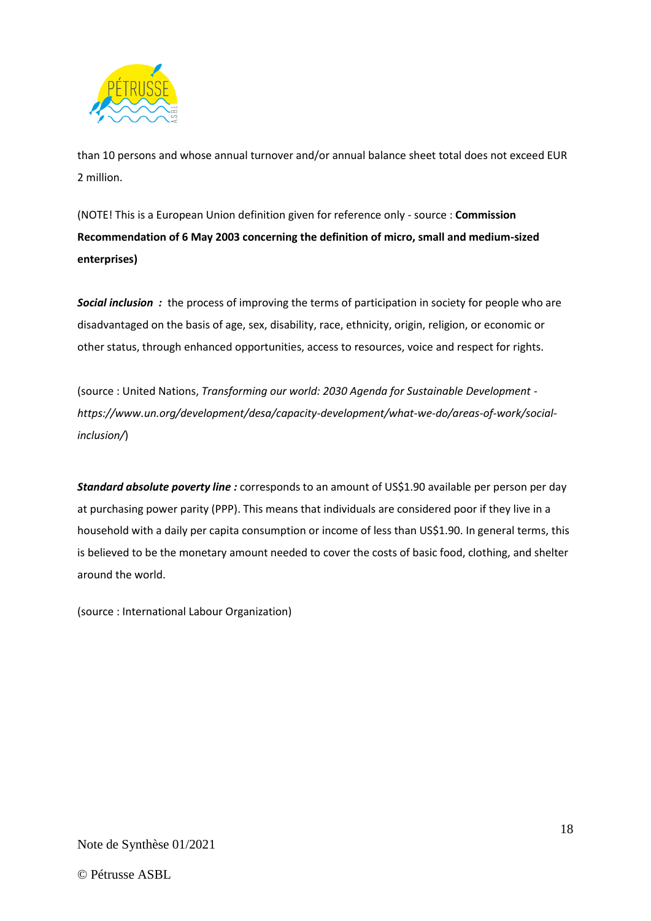

than 10 persons and whose annual turnover and/or annual balance sheet total does not exceed EUR 2 million.

(NOTE! This is a European Union definition given for reference only - source : **Commission Recommendation of 6 May 2003 concerning the definition of micro, small and medium-sized enterprises)**

*Social inclusion :* the process of improving the terms of participation in society for people who are disadvantaged on the basis of age, sex, disability, race, ethnicity, origin, religion, or economic or other status, through enhanced opportunities, access to resources, voice and respect for rights.

(source : United Nations, *Transforming our world: 2030 Agenda for Sustainable Development https://www.un.org/development/desa/capacity-development/what-we-do/areas-of-work/socialinclusion/*)

*Standard absolute poverty line :* corresponds to an amount of US\$1.90 available per person per day at purchasing power parity (PPP). This means that individuals are considered poor if they live in a household with a daily per capita consumption or income of less than US\$1.90. In general terms, this is believed to be the monetary amount needed to cover the costs of basic food, clothing, and shelter around the world.

(source : International Labour Organization)